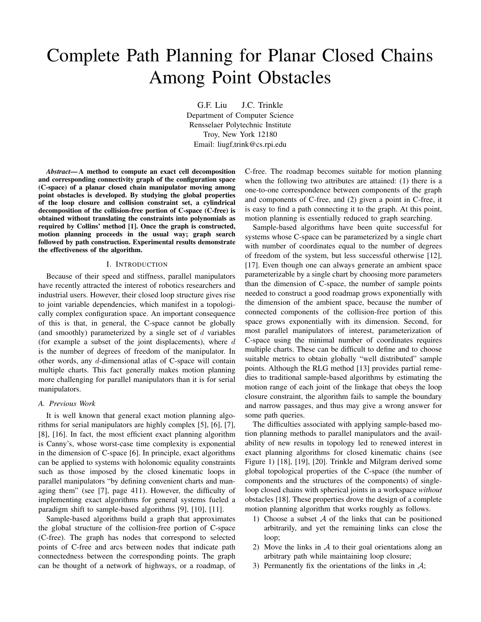# Complete Path Planning for Planar Closed Chains Among Point Obstacles

G.F. Liu J.C. Trinkle Department of Computer Science Rensselaer Polytechnic Institute Troy, New York 12180 Email: liugf,trink@cs.rpi.edu

*Abstract***—A method to compute an exact cell decomposition and corresponding connectivity graph of the configuration space (C-space) of a planar closed chain manipulator moving among point obstacles is developed. By studying the global properties of the loop closure and collision constraint set, a cylindrical decomposition of the collision-free portion of C-space (C-free) is obtained without translating the constraints into polynomials as required by Collins' method [1]. Once the graph is constructed, motion planning proceeds in the usual way; graph search followed by path construction. Experimental results demonstrate the effectiveness of the algorithm.**

## I. INTRODUCTION

Because of their speed and stiffness, parallel manipulators have recently attracted the interest of robotics researchers and industrial users. However, their closed loop structure gives rise to joint variable dependencies, which manifest in a topologically complex configuration space. An important consequence of this is that, in general, the C-space cannot be globally (and smoothly) parameterized by a single set of  $d$  variables (for example a subset of the joint displacements), where  $d$ is the number of degrees of freedom of the manipulator. In other words, any d-dimensional atlas of C-space will contain multiple charts. This fact generally makes motion planning more challenging for parallel manipulators than it is for serial manipulators.

## *A. Previous Work*

It is well known that general exact motion planning algorithms for serial manipulators are highly complex [5], [6], [7], [8], [16]. In fact, the most efficient exact planning algorithm is Canny's, whose worst-case time complexity is exponential in the dimension of C-space [6]. In principle, exact algorithms can be applied to systems with holonomic equality constraints such as those imposed by the closed kinematic loops in parallel manipulators "by defining convenient charts and managing them" (see [7], page 411). However, the difficulty of implementing exact algorithms for general systems fueled a paradigm shift to sample-based algorithms [9], [10], [11].

Sample-based algorithms build a graph that approximates the global structure of the collision-free portion of C-space (C-free). The graph has nodes that correspond to selected points of C-free and arcs between nodes that indicate path connectedness between the corresponding points. The graph can be thought of a network of highways, or a roadmap, of C-free. The roadmap becomes suitable for motion planning when the following two attributes are attained: (1) there is a one-to-one correspondence between components of the graph and components of C-free, and (2) given a point in C-free, it is easy to find a path connecting it to the graph. At this point, motion planning is essentially reduced to graph searching.

Sample-based algorithms have been quite successful for systems whose C-space can be parameterized by a single chart with number of coordinates equal to the number of degrees of freedom of the system, but less successful otherwise [12], [17]. Even though one can always generate an ambient space parameterizable by a single chart by choosing more parameters than the dimension of C-space, the number of sample points needed to construct a good roadmap grows exponentially with the dimension of the ambient space, because the number of connected components of the collision-free portion of this space grows exponentially with its dimension. Second, for most parallel manipulators of interest, parameterization of C-space using the minimal number of coordinates requires multiple charts. These can be difficult to define and to choose suitable metrics to obtain globally "well distributed" sample points. Although the RLG method [13] provides partial remedies to traditional sample-based algorithms by estimating the motion range of each joint of the linkage that obeys the loop closure constraint, the algorithm fails to sample the boundary and narrow passages, and thus may give a wrong answer for some path queries.

The difficulties associated with applying sample-based motion planning methods to parallel manipulators and the availability of new results in topology led to renewed interest in exact planning algorithms for closed kinematic chains (see Figure 1) [18], [19], [20]. Trinkle and Milgram derived some global topological properties of the C-space (the number of components and the structures of the components) of singleloop closed chains with spherical joints in a workspace *without* obstacles [18]. These properties drove the design of a complete motion planning algorithm that works roughly as follows.

- 1) Choose a subset  $A$  of the links that can be positioned arbitrarily, and yet the remaining links can close the loop;
- 2) Move the links in  $A$  to their goal orientations along an arbitrary path while maintaining loop closure;
- 3) Permanently fix the orientations of the links in  $A$ ;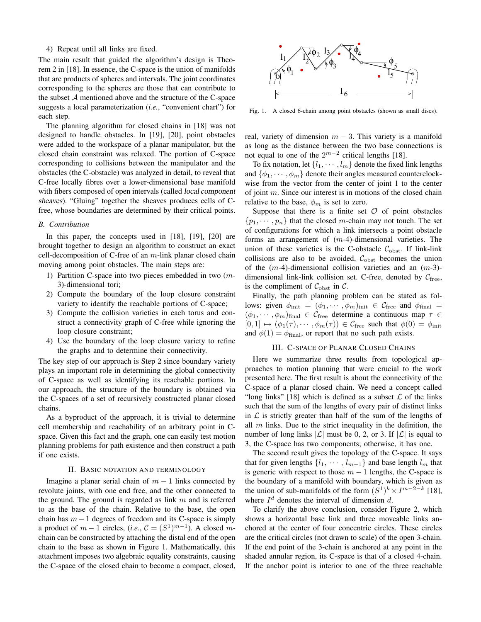4) Repeat until all links are fixed.

The main result that guided the algorithm's design is Theorem 2 in [18]. In essence, the C-space is the union of manifolds that are products of spheres and intervals. The joint coordinates corresponding to the spheres are those that can contribute to the subset  $A$  mentioned above and the structure of the C-space suggests a local parameterization (*i.e.*, "convenient chart") for each step.

The planning algorithm for closed chains in [18] was not designed to handle obstacles. In [19], [20], point obstacles were added to the workspace of a planar manipulator, but the closed chain constraint was relaxed. The portion of C-space corresponding to collisions between the manipulator and the obstacles (the C-obstacle) was analyzed in detail, to reveal that C-free locally fibres over a lower-dimensional base manifold with fibers composed of open intervals (called local component sheaves). "Gluing" together the sheaves produces cells of Cfree, whose boundaries are determined by their critical points.

#### *B. Contribution*

In this paper, the concepts used in [18], [19], [20] are brought together to design an algorithm to construct an exact cell-decomposition of C-free of an  $m$ -link planar closed chain moving among point obstacles. The main steps are:

- 1) Partition C-space into two pieces embedded in two  $(m-$ 3)-dimensional tori;
- 2) Compute the boundary of the loop closure constraint variety to identify the reachable portions of C-space;
- 3) Compute the collision varieties in each torus and construct a connectivity graph of C-free while ignoring the loop closure constraint;
- 4) Use the boundary of the loop closure variety to refine the graphs and to determine their connectivity.

The key step of our approach is Step 2 since boundary variety plays an important role in determining the global connectivity of C-space as well as identifying its reachable portions. In our approach, the structure of the boundary is obtained via the C-spaces of a set of recursively constructed planar closed chains.

As a byproduct of the approach, it is trivial to determine cell membership and reachability of an arbitrary point in Cspace. Given this fact and the graph, one can easily test motion planning problems for path existence and then construct a path if one exists.

## II. BASIC NOTATION AND TERMINOLOGY

Imagine a planar serial chain of  $m - 1$  links connected by revolute joints, with one end free, and the other connected to the ground. The ground is regarded as link  $m$  and is referred to as the base of the chain. Relative to the base, the open chain has  $m-1$  degrees of freedom and its C-space is simply a product of  $m-1$  circles,  $(i.e., \mathcal{C} = (S^1)^{m-1})$ . A closed mchain can be constructed by attaching the distal end of the open chain to the base as shown in Figure 1. Mathematically, this attachment imposes two algebraic equality constraints, causing the C-space of the closed chain to become a compact, closed,



Fig. 1. A closed 6-chain among point obstacles (shown as small discs).

real, variety of dimension  $m - 3$ . This variety is a manifold as long as the distance between the two base connections is not equal to one of the  $2^{m-2}$  critical lengths [18].

To fix notation, let  $\{l_1, \dots, l_m\}$  denote the fixed link lengths and  $\{\phi_1, \dots, \phi_m\}$  denote their angles measured counterclockwise from the vector from the center of joint 1 to the center of joint  $m$ . Since our interest is in motions of the closed chain relative to the base,  $\phi_m$  is set to zero.

Suppose that there is a finite set  $O$  of point obstacles  $\{p_1, \dots, p_n\}$  that the closed m-chain may not touch. The set of configurations for which a link intersects a point obstacle forms an arrangement of  $(m-4)$ -dimensional varieties. The union of these varieties is the C-obstacle  $C_{\text{obst}}$ . If link-link collisions are also to be avoided,  $C_{\text{obst}}$  becomes the union of the  $(m-4)$ -dimensional collision varieties and an  $(m-3)$ dimensional link-link collision set. C-free, denoted by  $C_{\text{free}}$ , is the compliment of  $C_{\text{obst}}$  in C.

Finally, the path planning problem can be stated as follows: given  $\phi_{\text{init}} = (\phi_1, \dots, \phi_m)_{\text{init}} \in \mathcal{C}_{\text{free}}$  and  $\phi_{\text{final}} =$  $(\phi_1, \dots, \phi_m)_{\text{final}} \in C_{\text{free}}$  determine a continuous map  $\tau \in$  $[0, 1] \mapsto (\phi_1(\tau), \cdots, \phi_m(\tau)) \in C_{\text{free}}$  such that  $\phi(0) = \phi_{\text{init}}$ and  $\phi(1) = \phi_{\text{final}}$ , or report that no such path exists.

#### III. C-SPACE OF PLANAR CLOSED CHAINS

Here we summarize three results from topological approaches to motion planning that were crucial to the work presented here. The first result is about the connectivity of the C-space of a planar closed chain. We need a concept called "long links" [18] which is defined as a subset  $\mathcal L$  of the links" such that the sum of the lengths of every pair of distinct links in  $\mathcal L$  is strictly greater than half of the sum of the lengths of all  $m$  links. Due to the strict inequality in the definition, the number of long links  $|\mathcal{L}|$  must be 0, 2, or 3. If  $|\mathcal{L}|$  is equal to 3, the C-space has two components; otherwise, it has one.

The second result gives the topology of the C-space. It says that for given lengths  $\{l_1, \cdots, l_{m-1}\}$  and base length  $l_m$  that is generic with respect to those  $m - 1$  lengths, the C-space is the boundary of a manifold with boundary, which is given as the union of sub-manifolds of the form  $(S^1)^k \times I^{m-2-k}$  [18], where  $I^d$  denotes the interval of dimension d.

To clarify the above conclusion, consider Figure 2, which shows a horizontal base link and three moveable links anchored at the center of four concentric circles. These circles are the critical circles (not drawn to scale) of the open 3-chain. If the end point of the 3-chain is anchored at any point in the shaded annular region, its C-space is that of a closed 4-chain. If the anchor point is interior to one of the three reachable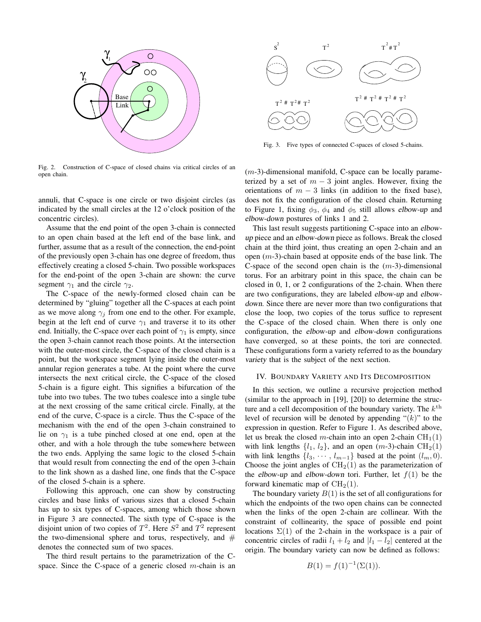

Fig. 2. Construction of C-space of closed chains via critical circles of an open chain.

annuli, that C-space is one circle or two disjoint circles (as indicated by the small circles at the 12 o'clock position of the concentric circles).

Assume that the end point of the open 3-chain is connected to an open chain based at the left end of the base link, and further, assume that as a result of the connection, the end-point of the previously open 3-chain has one degree of freedom, thus effectively creating a closed 5-chain. Two possible workspaces for the end-point of the open 3-chain are shown: the curve segment  $\gamma_1$  and the circle  $\gamma_2$ .

The C-space of the newly-formed closed chain can be determined by "gluing" together all the C-spaces at each point as we move along  $\gamma_i$  from one end to the other. For example, begin at the left end of curve  $\gamma_1$  and traverse it to its other end. Initially, the C-space over each point of  $\gamma_1$  is empty, since the open 3-chain cannot reach those points. At the intersection with the outer-most circle, the C-space of the closed chain is a point, but the workspace segment lying inside the outer-most annular region generates a tube. At the point where the curve intersects the next critical circle, the C-space of the closed 5-chain is a figure eight. This signifies a bifurcation of the tube into two tubes. The two tubes coalesce into a single tube at the next crossing of the same critical circle. Finally, at the end of the curve, C-space is a circle. Thus the C-space of the mechanism with the end of the open 3-chain constrained to lie on  $\gamma_1$  is a tube pinched closed at one end, open at the other, and with a hole through the tube somewhere between the two ends. Applying the same logic to the closed 5-chain that would result from connecting the end of the open 3-chain to the link shown as a dashed line, one finds that the C-space of the closed 5-chain is a sphere.

Following this approach, one can show by constructing circles and base links of various sizes that a closed 5-chain has up to six types of C-spaces, among which those shown in Figure 3 are connected. The sixth type of C-space is the disjoint union of two copies of  $T^2$ . Here  $S^2$  and  $T^2$  represent the two-dimensional sphere and torus, respectively, and  $#$ denotes the connected sum of two spaces.

The third result pertains to the parametrization of the Cspace. Since the C-space of a generic closed  $m$ -chain is an



Fig. 3. Five types of connected C-spaces of closed 5-chains.

 $(m-3)$ -dimensional manifold, C-space can be locally parameterized by a set of  $m - 3$  joint angles. However, fixing the orientations of  $m - 3$  links (in addition to the fixed base), does not fix the configuration of the closed chain. Returning to Figure 1, fixing  $\phi_3$ ,  $\phi_4$  and  $\phi_5$  still allows elbow-up and elbow-down postures of links 1 and 2.

This last result suggests partitioning C-space into an elbowup piece and an elbow-down piece as follows. Break the closed chain at the third joint, thus creating an open 2-chain and an open  $(m-3)$ -chain based at opposite ends of the base link. The C-space of the second open chain is the  $(m-3)$ -dimensional torus. For an arbitrary point in this space, the chain can be closed in 0, 1, or 2 configurations of the 2-chain. When there are two configurations, they are labeled elbow-up and elbowdown. Since there are never more than two configurations that close the loop, two copies of the torus suffice to represent the C-space of the closed chain. When there is only one configuration, the elbow-up and elbow-down configurations have converged, so at these points, the tori are connected. These configurations form a variety referred to as the boundary variety that is the subject of the next section.

## IV. BOUNDARY VARIETY AND ITS DECOMPOSITION

In this section, we outline a recursive projection method (similar to the approach in [19], [20]) to determine the structure and a cell decomposition of the boundary variety. The  $k^{\text{th}}$ level of recursion will be denoted by appending " $(k)$ " to the expression in question. Refer to Figure 1. As described above, let us break the closed m-chain into an open 2-chain  $CH<sub>1</sub>(1)$ with link lengths  $\{l_1, l_2\}$ , and an open  $(m-3)$ -chain  $\text{CH}_2(1)$ with link lengths  $\{l_3, \cdots, l_{m-1}\}$  based at the point  $(l_m, 0)$ . Choose the joint angles of  $CH<sub>2</sub>(1)$  as the parameterization of the elbow-up and elbow-down tori. Further, let  $f(1)$  be the forward kinematic map of  $CH<sub>2</sub>(1)$ .

The boundary variety  $B(1)$  is the set of all configurations for which the endpoints of the two open chains can be connected when the links of the open 2-chain are collinear. With the constraint of collinearity, the space of possible end point locations  $\Sigma(1)$  of the 2-chain in the workspace is a pair of concentric circles of radii  $l_1 + l_2$  and  $|l_1 - l_2|$  centered at the origin. The boundary variety can now be defined as follows:

$$
B(1) = f(1)^{-1}(\Sigma(1)).
$$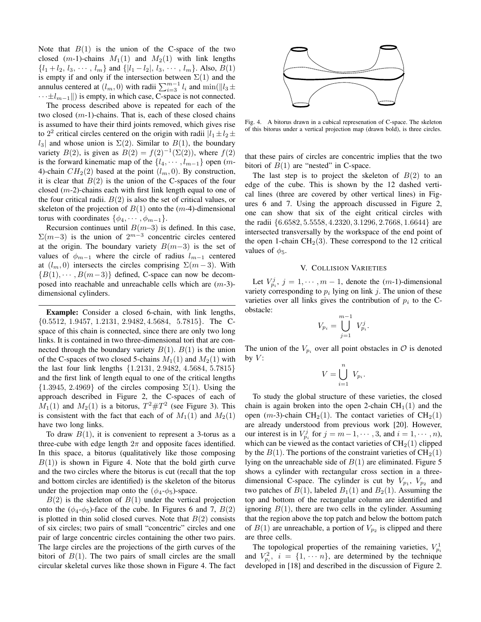Note that  $B(1)$  is the union of the C-space of the two closed (m-1)-chains  $M_1(1)$  and  $M_2(1)$  with link lengths  $\{l_1 + l_2, l_3, \cdots, l_m\}$  and  $\{|l_1 - l_2|, l_3, \cdots, l_m\}$ . Also,  $B(1)$ is empty if and only if the intersection between  $\Sigma(1)$  and the annulus centered at  $(l_m, 0)$  with radii  $\sum_{i=3}^{m-1} l_i$  and  $\min(\|l_3 \pm \dots \pm l_n\|)$  $\cdots \pm l_{m-1}$ ||) is empty, in which case, C-space is not connected.

The process described above is repeated for each of the two closed  $(m-1)$ -chains. That is, each of these closed chains is assumed to have their third joints removed, which gives rise to  $2^2$  critical circles centered on the origin with radii  $|l_1 \pm l_2 \pm \rangle$  $l_3$  and whose union is  $\Sigma(2)$ . Similar to  $B(1)$ , the boundary variety  $B(2)$ , is given as  $B(2) = f(2)^{-1}(\Sigma(2))$ , where  $f(2)$ is the forward kinematic map of the  $\{l_4, \cdots, l_{m-1}\}$  open  $(m-$ 4)-chain  $CH_2(2)$  based at the point  $(l_m, 0)$ . By construction, it is clear that  $B(2)$  is the union of the C-spaces of the four closed  $(m-2)$ -chains each with first link length equal to one of the four critical radii.  $B(2)$  is also the set of critical values, or skeleton of the projection of  $B(1)$  onto the  $(m-4)$ -dimensional torus with coordinates  $\{\phi_4, \cdots, \phi_{m-1}\}.$ 

Recursion continues until  $B(m-3)$  is defined. In this case,  $\Sigma(m-3)$  is the union of  $2^{m-3}$  concentric circles centered at the origin. The boundary variety  $B(m-3)$  is the set of values of  $\phi_{m-1}$  where the circle of radius  $l_{m-1}$  centered at  $(l_m, 0)$  intersects the circles comprising  $\Sigma(m-3)$ . With  ${B(1), \cdots, B(m-3)}$  defined, C-space can now be decomposed into reachable and unreachable cells which are  $(m-3)$ dimensional cylinders.

**Example:** Consider a closed 6-chain, with link lengths, {0.5512, 1.9457, 1.2131, 2.9482, 4.5684, 5.7815}. The Cspace of this chain is connected, since there are only two long links. It is contained in two three-dimensional tori that are connected through the boundary variety  $B(1)$ .  $B(1)$  is the union of the C-spaces of two closed 5-chains  $M_1(1)$  and  $M_2(1)$  with the last four link lengths {1.2131, 2.9482, 4.5684, 5.7815} and the first link of length equal to one of the critical lengths  ${1.3945, 2.4969}$  of the circles composing  $\Sigma(1)$ . Using the approach described in Figure 2, the C-spaces of each of  $M_1(1)$  and  $M_2(1)$  is a bitorus,  $T^2 \# T^2$  (see Figure 3). This is consistent with the fact that each of of  $M_1(1)$  and  $M_2(1)$ have two long links.

To draw  $B(1)$ , it is convenient to represent a 3-torus as a three-cube with edge length  $2\pi$  and opposite faces identified. In this space, a bitorus (qualitatively like those composing  $B(1)$ ) is shown in Figure 4. Note that the bold girth curve and the two circles where the bitorus is cut (recall that the top and bottom circles are identified) is the skeleton of the bitorus under the projection map onto the  $(\phi_4-\phi_5)$ -space.

 $B(2)$  is the skeleton of  $B(1)$  under the vertical projection onto the  $(\phi_4-\phi_5)$ -face of the cube. In Figures 6 and 7,  $B(2)$ is plotted in thin solid closed curves. Note that  $B(2)$  consists of six circles; two pairs of small "concentric" circles and one pair of large concentric circles containing the other two pairs. The large circles are the projections of the girth curves of the bitori of  $B(1)$ . The two pairs of small circles are the small circular skeletal curves like those shown in Figure 4. The fact



Fig. 4. A bitorus drawn in a cubical represenation of C-space. The skeleton of this bitorus under a vertical projection map (drawn bold), is three circles.

that these pairs of circles are concentric implies that the two bitori of  $B(1)$  are "nested" in C-space.

The last step is to project the skeleton of  $B(2)$  to an edge of the cube. This is shown by the 12 dashed vertical lines (three are covered by other vertical lines) in Figures 6 and 7. Using the approach discussed in Figure 2, one can show that six of the eight critical circles with the radii {6.6582, 5.5558, 4.2320, 3.1296, 2.7668, 1.6644} are intersected transversally by the workspace of the end point of the open 1-chain  $CH<sub>2</sub>(3)$ . These correspond to the 12 critical values of  $\phi_5$ .

# V. COLLISION VARIETIES

Let  $V_{p_i}^j$ ,  $j = 1, \dots, m - 1$ , denote the  $(m-1)$ -dimensional variety corresponding to  $p_i$  lying on link j. The union of these varieties over all links gives the contribution of  $p_i$  to the Cobstacle:

$$
V_{p_i}=\bigcup_{j=1}^{m-1}\ V_{p_i}^j.
$$

The union of the  $V_{p_i}$  over all point obstacles in  $\mathcal{O}$  is denoted by  $V$ :

$$
V = \bigcup_{i=1}^{n} V_{p_i}.
$$

To study the global structure of these varieties, the closed chain is again broken into the open 2-chain  $CH<sub>1</sub>(1)$  and the open (m-3)-chain CH<sub>2</sub>(1). The contact varieties of CH<sub>2</sub>(1) are already understood from previous work [20]. However, our interest is in  $V_{p_i}^j$  for  $j = m-1, \dots, 3$ , and  $i = 1, \dots, n$ ), which can be viewed as the contact varieties of  $CH<sub>2</sub>(1)$  clipped by the  $B(1)$ . The portions of the constraint varieties of  $CH<sub>2</sub>(1)$ lying on the unreachable side of  $B(1)$  are eliminated. Figure 5 shows a cylinder with rectangular cross section in a threedimensional C-space. The cylinder is cut by  $V_{p_1}$ ,  $V_{p_2}$  and two patches of  $B(1)$ , labeled  $B_1(1)$  and  $B_2(1)$ . Assuming the top and bottom of the rectangular column are identified and ignoring  $B(1)$ , there are two cells in the cylinder. Assuming that the region above the top patch and below the bottom patch of  $B(1)$  are unreachable, a portion of  $V_{p_2}$  is clipped and there are three cells.

The topological properties of the remaining varieties,  $V_{p_i}^1$ and  $V_{p_i}^2$ ,  $i = \{1, \dots, n\}$ , are determined by the technique developed in [18] and described in the discussion of Figure 2.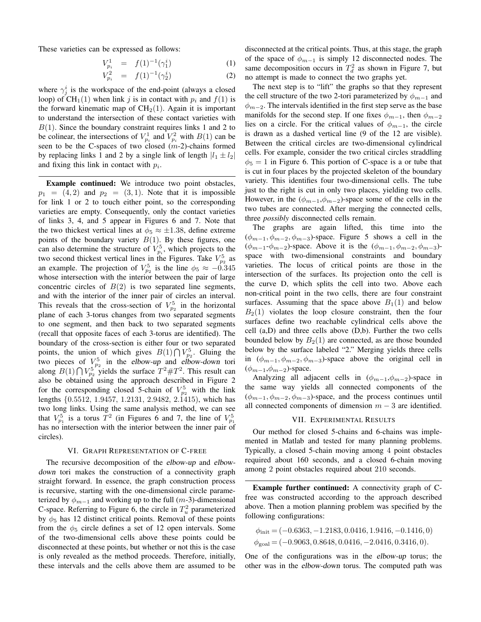These varieties can be expressed as follows:

$$
V_{p_i}^1 = f(1)^{-1}(\gamma_1^i) \tag{1}
$$

$$
V_{p_i}^2 = f(1)^{-1}(\gamma_2^i) \tag{2}
$$

where  $\gamma_j^i$  is the workspace of the end-point (always a closed loop) of CH<sub>1</sub>(1) when link j is in contact with  $p_i$  and  $f(1)$  is the forward kinematic map of  $CH<sub>2</sub>(1)$ . Again it is important to understand the intersection of these contact varieties with  $B(1)$ . Since the boundary constraint requires links 1 and 2 to be colinear, the intersections of  $V_{p_i}^1$  and  $V_{p_i}^2$  with  $B(1)$  can be seen to be the C-spaces of two closed  $(m-2)$ -chains formed by replacing links 1 and 2 by a single link of length  $|l_1 \pm l_2|$ and fixing this link in contact with  $p_i$ .

**Example continued:** We introduce two point obstacles,  $p_1 = (4, 2)$  and  $p_2 = (3, 1)$ . Note that it is impossible for link 1 or 2 to touch either point, so the corresponding varieties are empty. Consequently, only the contact varieties of links 3, 4, and 5 appear in Figures 6 and 7. Note that the two thickest vertical lines at  $\phi_5 \approx \pm 1.38$ , define extreme points of the boundary variety  $B(1)$ . By these figures, one can also determine the structure of  $V_{p_i}^5$ , which projects to the two second thickest vertical lines in the Figures. Take  $V_{p_2}^5$  as an example. The projection of  $V_{p_2}^5$  is the line  $\phi_5 \approx -0.345$ whose intersection with the interior between the pair of large concentric circles of  $B(2)$  is two separated line segments, and with the interior of the inner pair of circles an interval. This reveals that the cross-section of  $V_{p_2}^5$  in the horizontal plane of each 3-torus changes from two separated segments to one segment, and then back to two separated segments (recall that opposite faces of each 3-torus are identified). The boundary of the cross-section is either four or two separated points, the union of which gives  $B(1) \bigcap V_{p_2}^5$ . Gluing the two pieces of  $V_{p_2}^5$  in the elbow-up and elbow-down tori along  $B(1) \bigcap V_{p_2}^{5}$  yields the surface  $T^2 \# T^2$ . This result can also be obtained using the approach described in Figure 2 for the corresponding closed 5-chain of  $V_{p_2}^5$  with the link lengths {0.5512, 1.9457, 1.2131, 2.9482, 2.1415), which has two long links. Using the same analysis method, we can see that  $V_{p_1}^5$  is a torus  $T^2$  (in Figures 6 and 7, the line of  $V_{p_1}^5$ has no intersection with the interior between the inner pair of circles).

#### VI. GRAPH REPRESENTATION OF C-FREE

The recursive decomposition of the elbow-up and elbowdown tori makes the construction of a connectivity graph straight forward. In essence, the graph construction process is recursive, starting with the one-dimensional circle parameterized by  $\phi_{m-1}$  and working up to the full (m-3)-dimensional C-space. Referring to Figure 6, the circle in  $T_u^2$  parameterized by  $\phi_5$  has 12 distinct critical points. Removal of these points from the  $\phi_5$  circle defines a set of 12 open intervals. Some of the two-dimensional cells above these points could be disconnected at these points, but whether or not this is the case is only revealed as the method proceeds. Therefore, initially, these intervals and the cells above them are assumed to be

disconnected at the critical points. Thus, at this stage, the graph of the space of  $\phi_{m-1}$  is simply 12 disconnected nodes. The same decomposition occurs in  $T_d^2$  as shown in Figure 7, but no attempt is made to connect the two graphs yet.

The next step is to "lift" the graphs so that they represent the cell structure of the two 2-tori parameterized by  $\phi_{m-1}$  and  $\phi_{m-2}$ . The intervals identified in the first step serve as the base manifolds for the second step. If one fixes  $\phi_{m-1}$ , then  $\phi_{m-2}$ lies on a circle. For the critical values of  $\phi_{m-1}$ , the circle is drawn as a dashed vertical line (9 of the 12 are visible). Between the critical circles are two-dimensional cylindrical cells. For example, consider the two critical circles straddling  $\phi_5 = 1$  in Figure 6. This portion of C-space is a or tube that is cut in four places by the projected skeleton of the boundary variety. This identifies four two-dimensional cells. The tube just to the right is cut in only two places, yielding two cells. However, in the  $(\phi_{m-1}, \phi_{m-2})$ -space some of the cells in the two tubes are connected. After merging the connected cells, three *possibly* disconnected cells remain.

The graphs are again lifted, this time into the  $(\phi_{m-1}, \phi_{m-2}, \phi_{m-3})$ -space. Figure 5 shows a cell in the  $(\phi_{m-1}, \phi_{m-2})$ -space. Above it is the  $(\phi_{m-1}, \phi_{m-2}, \phi_{m-3})$ space with two-dimensional constraints and boundary varieties. The locus of critical points are those in the intersection of the surfaces. Its projection onto the cell is the curve D, which splits the cell into two. Above each non-critical point in the two cells, there are four constraint surfaces. Assuming that the space above  $B_1(1)$  and below  $B<sub>2</sub>(1)$  violates the loop closure constraint, then the four surfaces define two reachable cylindrical cells above the cell (a,D) and three cells above (D,b). Further the two cells bounded below by  $B_2(1)$  are connected, as are those bounded below by the surface labeled "2." Merging yields three cells in  $(\phi_{m-1}, \phi_{m-2}, \phi_{m-3})$ -space above the original cell in  $(\phi_{m-1}, \phi_{m-2})$ -space.

Analyzing all adjacent cells in  $(\phi_{m-1}, \phi_{m-2})$ -space in the same way yields all connected components of the  $(\phi_{m-1}, \phi_{m-2}, \phi_{m-3})$ -space, and the process continues until all connected components of dimension  $m-3$  are identified.

#### VII. EXPERIMENTAL RESULTS

Our method for closed 5-chains and 6-chains was implemented in Matlab and tested for many planning problems. Typically, a closed 5-chain moving among 4 point obstacles required about 160 seconds, and a closed 6-chain moving among 2 point obstacles required about 210 seconds.

**Example further continued:** A connectivity graph of Cfree was constructed according to the approach described above. Then a motion planning problem was specified by the following configurations:

$$
\phi_{init} = (-0.6363, -1.2183, 0.0416, 1.9416, -0.1416, 0)
$$
  
\n
$$
\phi_{goal} = (-0.9063, 0.8648, 0.0416, -2.0416, 0.3416, 0).
$$

One of the configurations was in the elbow-up torus; the other was in the elbow-down torus. The computed path was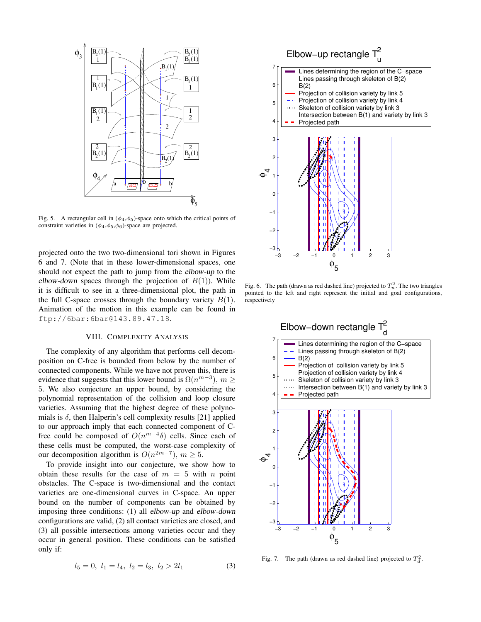

Fig. 5. A rectangular cell in  $(\phi_4, \phi_5)$ -space onto which the critical points of constraint varieties in  $(\phi_4, \phi_5, \phi_6)$ -space are projected.

projected onto the two two-dimensional tori shown in Figures 6 and 7. (Note that in these lower-dimensional spaces, one should not expect the path to jump from the elbow-up to the elbow-down spaces through the projection of  $B(1)$ ). While it is difficult to see in a three-dimensional plot, the path in the full C-space crosses through the boundary variety  $B(1)$ . Animation of the motion in this example can be found in ftp://6bar:6bar@143.89.47.18.

# VIII. COMPLEXITY ANALYSIS

The complexity of any algorithm that performs cell decomposition on C-free is bounded from below by the number of connected components. While we have not proven this, there is evidence that suggests that this lower bound is  $\Omega(n^{m-3})$ ,  $m \geq$ 5. We also conjecture an upper bound, by considering the polynomial representation of the collision and loop closure varieties. Assuming that the highest degree of these polynomials is  $\delta$ , then Halperin's cell complexity results [21] applied to our approach imply that each connected component of Cfree could be composed of  $O(n^{m-4}\delta)$  cells. Since each of these cells must be computed, the worst-case complexity of our decomposition algorithm is  $O(n^{2m-7})$ ,  $m \ge 5$ .

To provide insight into our conjecture, we show how to obtain these results for the case of  $m = 5$  with n point obstacles. The C-space is two-dimensional and the contact varieties are one-dimensional curves in C-space. An upper bound on the number of components can be obtained by imposing three conditions: (1) all elbow-up and elbow-down configurations are valid, (2) all contact varieties are closed, and (3) all possible intersections among varieties occur and they occur in general position. These conditions can be satisfied only if:

$$
l_5 = 0, l_1 = l_4, l_2 = l_3, l_2 > 2l_1
$$
 (3)



Fig. 6. The path (drawn as red dashed line) projected to  $T_u^2$ . The two triangles pointed to the left and right represent the initial and goal configurations, respectively



Fig. 7. The path (drawn as red dashed line) projected to  $T_d^2$ .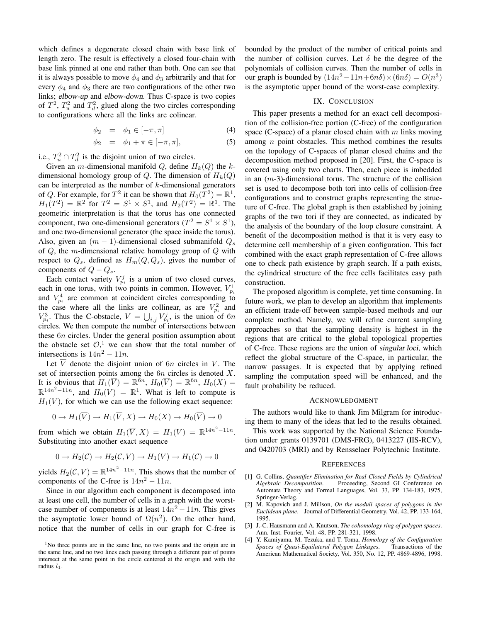which defines a degenerate closed chain with base link of length zero. The result is effectively a closed four-chain with base link pinned at one end rather than both. One can see that it is always possible to move  $\phi_4$  and  $\phi_3$  arbitrarily and that for every  $\phi_4$  and  $\phi_3$  there are two configurations of the other two links; elbow-up and elbow-down. Thus C-space is two copies of  $T^2$ ,  $T_u^2$  and  $T_d^2$ , glued along the two circles corresponding to configurations where all the links are colinear.

$$
\phi_2 = \phi_1 \in [-\pi, \pi] \tag{4}
$$

$$
\phi_2 = \phi_1 + \pi \in [-\pi, \pi], \tag{5}
$$

i.e.,  $T_u^2 \cap T_d^2$  is the disjoint union of two circles.

Given an *m*-dimensional manifold Q, define  $H_k(Q)$  the kdimensional homology group of Q. The dimension of  $H_k(Q)$ can be interpreted as the number of  $k$ -dimensional generators of Q. For example, for  $T^2$  it can be shown that  $H_0(T^2) = \mathbb{R}^1$ ,  $H_1(T^2) = \mathbb{R}^2$  for  $T^2 = S^1 \times S^1$ , and  $H_2(T^2) = \mathbb{R}^1$ . The geometric interpretation is that the torus has one connected component, two one-dimensional generators  $(T^2 = S^1 \times S^1)$ , and one two-dimensional generator (the space inside the torus). Also, given an  $(m - 1)$ -dimensional closed submanifold  $Q_s$ of  $Q$ , the m-dimensional relative homology group of  $Q$  with respect to  $Q_s$ , defined as  $H_m(Q, Q_s)$ , gives the number of components of  $Q - Q_s$ .

Each contact variety  $V_{p_i}^j$  is a union of two closed curves, each in one torus, with two points in common. However,  $V_{p_i}^1$ and  $V_{p_i}^4$  are common at coincident circles corresponding to the case where all the links are collinear, as are  $V_{p_i}^2$  and  $V_{p_i}^3$ . Thus the C-obstacle,  $V = \bigcup_{i,j} V_{p_i}^j$ , is the union of 6n circles. We then compute the number of intersections between these 6n circles. Under the general position assumption about the obstacle set  $\mathcal{O}$ ,<sup>1</sup> we can show that the total number of intersections is  $14n^2 - 11n$ .

Let  $\overline{V}$  denote the disjoint union of 6n circles in V. The set of intersection points among the  $6n$  circles is denoted X. It is obvious that  $H_1(\overline{V}) = \mathbb{R}^{\bar{6}n}$ ,  $H_0(\overline{V}) = \mathbb{R}^{6n}$ ,  $H_0(X) =$  $\mathbb{R}^{14n^2-11n}$ , and  $H_0(V) = \mathbb{R}^1$ . What is left to compute is  $H_1(V)$ , for which we can use the following exact sequence:

$$
0 \to H_1(\overline{V}) \to H_1(\overline{V}, X) \to H_0(X) \to H_0(\overline{V}) \to 0
$$

from which we obtain  $H_1(\overline{V}, X) = H_1(V) = \mathbb{R}^{14n^2 - 11n}$ . Substituting into another exact sequence

$$
0 \to H_2(\mathcal{C}) \to H_2(\mathcal{C}, V) \to H_1(V) \to H_1(\mathcal{C}) \to 0
$$

yields  $H_2(\mathcal{C}, V) = \mathbb{R}^{14n^2 - 11n}$ . This shows that the number of components of the C-free is  $14n^2 - 11n$ .

Since in our algorithm each component is decomposed into at least one cell, the number of cells in a graph with the worstcase number of components is at least  $14n^2 - 11n$ . This gives the asymptotic lower bound of  $\Omega(n^2)$ . On the other hand, notice that the number of cells in our graph for C-free is bounded by the product of the number of critical points and the number of collision curves. Let  $\delta$  be the degree of the polynomials of collision curves. Then the number of cells in our graph is bounded by  $(14n^2 - 11n + 6n\delta) \times (6n\delta) = O(n^3)$ is the asymptotic upper bound of the worst-case complexity.

# IX. CONCLUSION

This paper presents a method for an exact cell decomposition of the collision-free portion (C-free) of the configuration space (C-space) of a planar closed chain with  $m$  links moving among  $n$  point obstacles. This method combines the results on the topology of C-spaces of planar closed chains and the decomposition method proposed in [20]. First, the C-space is covered using only two charts. Then, each piece is imbedded in an  $(m-3)$ -dimensional torus. The structure of the collision set is used to decompose both tori into cells of collision-free configurations and to construct graphs representing the structure of C-free. The global graph is then established by joining graphs of the two tori if they are connected, as indicated by the analysis of the boundary of the loop closure constraint. A benefit of the decomposition method is that it is very easy to determine cell membership of a given configuration. This fact combined with the exact graph representation of C-free allows one to check path existence by graph search. If a path exists, the cylindrical structure of the free cells facilitates easy path construction.

The proposed algorithm is complete, yet time consuming. In future work, we plan to develop an algorithm that implements an efficient trade-off between sample-based methods and our complete method. Namely, we will refine current sampling approaches so that the sampling density is highest in the regions that are critical to the global topological properties of C-free. These regions are the union of singular loci, which reflect the global structure of the C-space, in particular, the narrow passages. It is expected that by applying refined sampling the computation speed will be enhanced, and the fault probability be reduced.

## ACKNOWLEDGMENT

The authors would like to thank Jim Milgram for introducing them to many of the ideas that led to the results obtained.

This work was supported by the National Science Foundation under grants 0139701 (DMS-FRG), 0413227 (IIS-RCV), and 0420703 (MRI) and by Rensselaer Polytechnic Institute.

## **REFERENCES**

- [1] G. Collins, *Quantifier Elimination for Real Closed Fields by Cylindrical Algebraic Decomposition*. Proceeding, Second GI Conference on Automata Theory and Formal Languages, Vol. 33, PP. 134-183, 1975, Springer-Verlag.
- [2] M. Kapovich and J. Millson, *On the moduli spaces of polygons in the Euclidean plane*. Journal of Differential Geometry, Vol. 42, PP. 133-164, 1995.
- [3] J.-C. Hausmann and A. Knutson, *The cohomology ring of polygon spaces*. Ann. Inst. Fourier, Vol. 48, PP. 281-321, 1998.
- [4] Y. Kamiyama, M. Tezuka, and T. Toma, *Homology of the Configuration Spaces of Quasi-Equilateral Polygon Linkages*. Transactions of the American Mathematical Society, Vol. 350, No. 12, PP. 4869-4896, 1998.

<sup>&</sup>lt;sup>1</sup>No three points are in the same line, no two points and the origin are in the same line, and no two lines each passing through a different pair of points intersect at the same point in the circle centered at the origin and with the radius  $l_1$ .